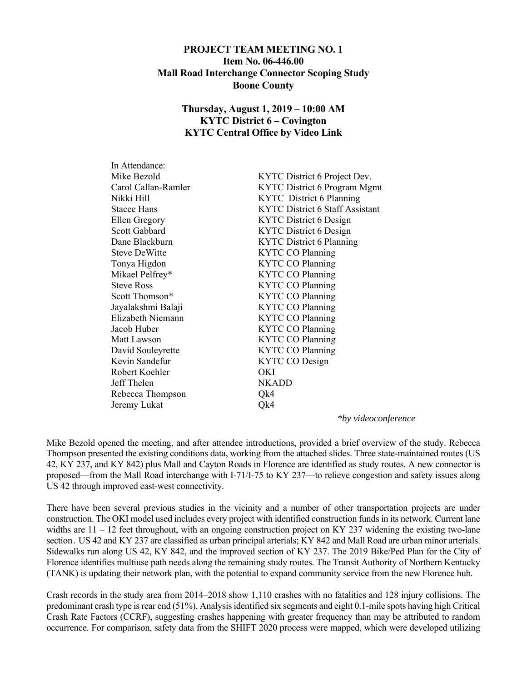### **PROJECT TEAM MEETING NO. 1 Item No. 06-446.00 Mall Road Interchange Connector Scoping Study Boone County**

# **Thursday, August 1, 2019 – 10:00 AM KYTC District 6 – Covington KYTC Central Office by Video Link**

| KYTC District 6 Project Dev.           |  |
|----------------------------------------|--|
| KYTC District 6 Program Mgmt           |  |
| KYTC District 6 Planning               |  |
| <b>KYTC District 6 Staff Assistant</b> |  |
| KYTC District 6 Design                 |  |
| <b>KYTC District 6 Design</b>          |  |
| <b>KYTC District 6 Planning</b>        |  |
| <b>KYTC CO Planning</b>                |  |
| <b>KYTC CO Planning</b>                |  |
| <b>KYTC CO Planning</b>                |  |
| <b>KYTC CO Planning</b>                |  |
| <b>KYTC CO Planning</b>                |  |
| <b>KYTC CO Planning</b>                |  |
| <b>KYTC CO Planning</b>                |  |
| <b>KYTC CO Planning</b>                |  |
| <b>KYTC CO Planning</b>                |  |
| <b>KYTC CO Planning</b>                |  |
| <b>KYTC CO Design</b>                  |  |
| OKI                                    |  |
| <b>NKADD</b>                           |  |
| Qk4                                    |  |
| Qk4                                    |  |
|                                        |  |

*\*by videoconference* 

Mike Bezold opened the meeting, and after attendee introductions, provided a brief overview of the study. Rebecca Thompson presented the existing conditions data, working from the attached slides. Three state-maintained routes (US 42, KY 237, and KY 842) plus Mall and Cayton Roads in Florence are identified as study routes. A new connector is proposed—from the Mall Road interchange with I-71/I-75 to KY 237—to relieve congestion and safety issues along US 42 through improved east-west connectivity.

There have been several previous studies in the vicinity and a number of other transportation projects are under construction. The OKI model used includes every project with identified construction funds in its network. Current lane widths are  $11 - 12$  feet throughout, with an ongoing construction project on KY 237 widening the existing two-lane section. US 42 and KY 237 are classified as urban principal arterials; KY 842 and Mall Road are urban minor arterials. Sidewalks run along US 42, KY 842, and the improved section of KY 237. The 2019 Bike/Ped Plan for the City of Florence identifies multiuse path needs along the remaining study routes. The Transit Authority of Northern Kentucky (TANK) is updating their network plan, with the potential to expand community service from the new Florence hub.

Crash records in the study area from 2014–2018 show 1,110 crashes with no fatalities and 128 injury collisions. The predominant crash type is rear end (51%). Analysis identified six segments and eight 0.1-mile spots having high Critical Crash Rate Factors (CCRF), suggesting crashes happening with greater frequency than may be attributed to random occurrence. For comparison, safety data from the SHIFT 2020 process were mapped, which were developed utilizing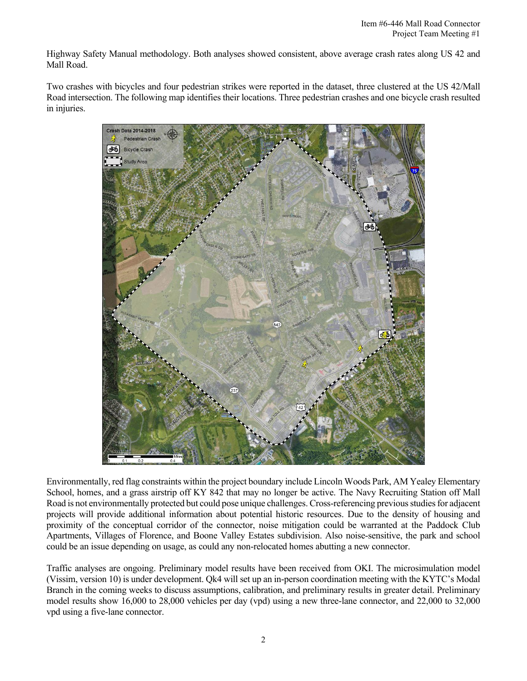Highway Safety Manual methodology. Both analyses showed consistent, above average crash rates along US 42 and Mall Road.

Two crashes with bicycles and four pedestrian strikes were reported in the dataset, three clustered at the US 42/Mall Road intersection. The following map identifies their locations. Three pedestrian crashes and one bicycle crash resulted in injuries.



Environmentally, red flag constraints within the project boundary include Lincoln Woods Park, AM Yealey Elementary School, homes, and a grass airstrip off KY 842 that may no longer be active. The Navy Recruiting Station off Mall Road is not environmentally protected but could pose unique challenges. Cross-referencing previous studies for adjacent projects will provide additional information about potential historic resources. Due to the density of housing and proximity of the conceptual corridor of the connector, noise mitigation could be warranted at the Paddock Club Apartments, Villages of Florence, and Boone Valley Estates subdivision. Also noise-sensitive, the park and school could be an issue depending on usage, as could any non-relocated homes abutting a new connector.

Traffic analyses are ongoing. Preliminary model results have been received from OKI. The microsimulation model (Vissim, version 10) is under development. Qk4 will set up an in-person coordination meeting with the KYTC's Modal Branch in the coming weeks to discuss assumptions, calibration, and preliminary results in greater detail. Preliminary model results show 16,000 to 28,000 vehicles per day (vpd) using a new three-lane connector, and 22,000 to 32,000 vpd using a five-lane connector.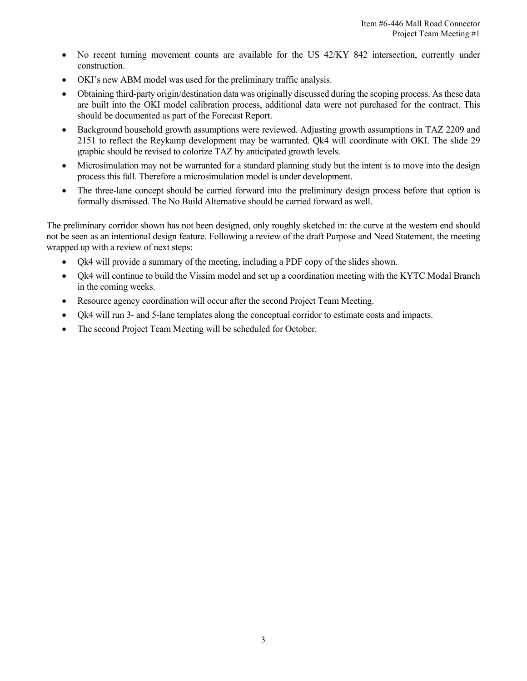- No recent turning movement counts are available for the US 42/KY 842 intersection, currently under construction.
- OKI's new ABM model was used for the preliminary traffic analysis.
- Obtaining third-party origin/destination data was originally discussed during the scoping process. As these data are built into the OKI model calibration process, additional data were not purchased for the contract. This should be documented as part of the Forecast Report.
- Background household growth assumptions were reviewed. Adjusting growth assumptions in TAZ 2209 and 2151 to reflect the Reykamp development may be warranted. Qk4 will coordinate with OKI. The slide 29 graphic should be revised to colorize TAZ by anticipated growth levels.
- Microsimulation may not be warranted for a standard planning study but the intent is to move into the design process this fall. Therefore a microsimulation model is under development.
- The three-lane concept should be carried forward into the preliminary design process before that option is formally dismissed. The No Build Alternative should be carried forward as well.

The preliminary corridor shown has not been designed, only roughly sketched in: the curve at the western end should not be seen as an intentional design feature. Following a review of the draft Purpose and Need Statement, the meeting wrapped up with a review of next steps:

- Qk4 will provide a summary of the meeting, including a PDF copy of the slides shown.
- Qk4 will continue to build the Vissim model and set up a coordination meeting with the KYTC Modal Branch in the coming weeks.
- Resource agency coordination will occur after the second Project Team Meeting.
- Qk4 will run 3- and 5-lane templates along the conceptual corridor to estimate costs and impacts.
- The second Project Team Meeting will be scheduled for October.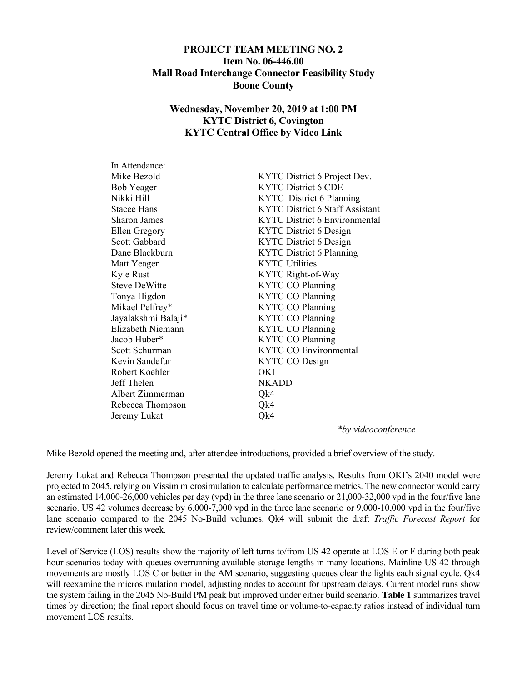### **PROJECT TEAM MEETING NO. 2 Item No. 06-446.00 Mall Road Interchange Connector Feasibility Study Boone County**

## **Wednesday, November 20, 2019 at 1:00 PM KYTC District 6, Covington KYTC Central Office by Video Link**

| In Attendance:       |                                        |  |
|----------------------|----------------------------------------|--|
| Mike Bezold          | KYTC District 6 Project Dev.           |  |
| <b>Bob Yeager</b>    | <b>KYTC District 6 CDE</b>             |  |
| Nikki Hill           | KYTC District 6 Planning               |  |
| <b>Stacee Hans</b>   | <b>KYTC District 6 Staff Assistant</b> |  |
| Sharon James         | <b>KYTC District 6 Environmental</b>   |  |
| Ellen Gregory        | <b>KYTC District 6 Design</b>          |  |
| <b>Scott Gabbard</b> | <b>KYTC District 6 Design</b>          |  |
| Dane Blackburn       | <b>KYTC District 6 Planning</b>        |  |
| Matt Yeager          | <b>KYTC Utilities</b>                  |  |
| Kyle Rust            | KYTC Right-of-Way                      |  |
| <b>Steve DeWitte</b> | <b>KYTC CO Planning</b>                |  |
| Tonya Higdon         | <b>KYTC CO Planning</b>                |  |
| Mikael Pelfrey*      | <b>KYTC CO Planning</b>                |  |
| Jayalakshmi Balaji*  | <b>KYTC CO Planning</b>                |  |
| Elizabeth Niemann    | <b>KYTC CO Planning</b>                |  |
| Jacob Huber*         | <b>KYTC CO Planning</b>                |  |
| Scott Schurman       | <b>KYTC CO Environmental</b>           |  |
| Kevin Sandefur       | KYTC CO Design                         |  |
| Robert Koehler       | OKI                                    |  |
| Jeff Thelen          | <b>NKADD</b>                           |  |
| Albert Zimmerman     | Qk4                                    |  |
| Rebecca Thompson     | Qk4                                    |  |
| Jeremy Lukat         | Qk4                                    |  |
|                      |                                        |  |

*\*by videoconference* 

Mike Bezold opened the meeting and, after attendee introductions, provided a brief overview of the study.

Jeremy Lukat and Rebecca Thompson presented the updated traffic analysis. Results from OKI's 2040 model were projected to 2045, relying on Vissim microsimulation to calculate performance metrics. The new connector would carry an estimated 14,000-26,000 vehicles per day (vpd) in the three lane scenario or 21,000-32,000 vpd in the four/five lane scenario. US 42 volumes decrease by 6,000-7,000 vpd in the three lane scenario or 9,000-10,000 vpd in the four/five lane scenario compared to the 2045 No-Build volumes. Qk4 will submit the draft *Traffic Forecast Report* for review/comment later this week.

Level of Service (LOS) results show the majority of left turns to/from US 42 operate at LOS E or F during both peak hour scenarios today with queues overrunning available storage lengths in many locations. Mainline US 42 through movements are mostly LOS C or better in the AM scenario, suggesting queues clear the lights each signal cycle. Qk4 will reexamine the microsimulation model, adjusting nodes to account for upstream delays. Current model runs show the system failing in the 2045 No-Build PM peak but improved under either build scenario. **Table 1** summarizes travel times by direction; the final report should focus on travel time or volume-to-capacity ratios instead of individual turn movement LOS results.